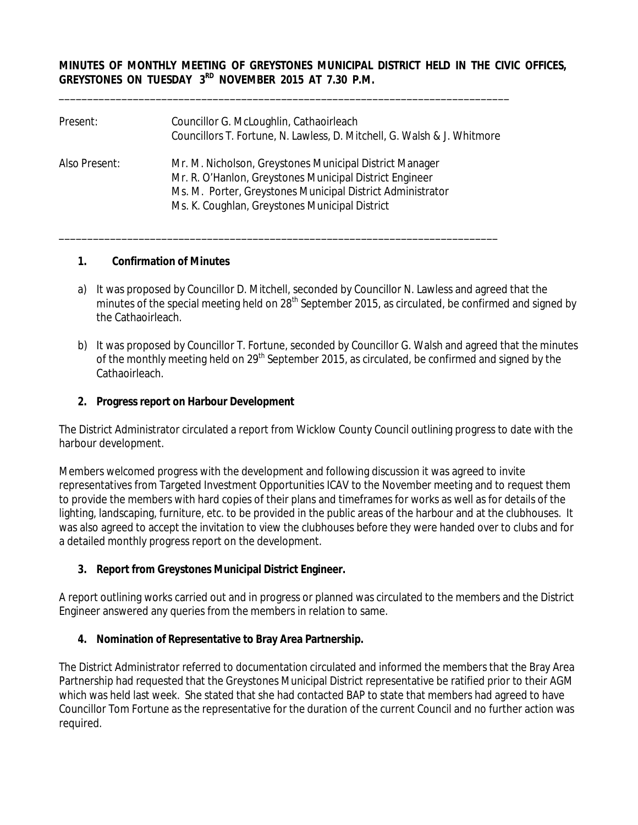### **MINUTES OF MONTHLY MEETING OF GREYSTONES MUNICIPAL DISTRICT HELD IN THE CIVIC OFFICES, GREYSTONES ON TUESDAY 3RD NOVEMBER 2015 AT 7.30 P.M.**

| Present:      | Councillor G. McLoughlin, Cathaoirleach<br>Councillors T. Fortune, N. Lawless, D. Mitchell, G. Walsh & J. Whitmore                                                                                                                 |
|---------------|------------------------------------------------------------------------------------------------------------------------------------------------------------------------------------------------------------------------------------|
| Also Present: | Mr. M. Nicholson, Greystones Municipal District Manager<br>Mr. R. O'Hanlon, Greystones Municipal District Engineer<br>Ms. M. Porter, Greystones Municipal District Administrator<br>Ms. K. Coughlan, Greystones Municipal District |

\_\_\_\_\_\_\_\_\_\_\_\_\_\_\_\_\_\_\_\_\_\_\_\_\_\_\_\_\_\_\_\_\_\_\_\_\_\_\_\_\_\_\_\_\_\_\_\_\_\_\_\_\_\_\_\_\_\_\_\_\_\_\_\_\_\_\_\_\_\_\_\_\_\_\_\_\_

\_\_\_\_\_\_\_\_\_\_\_\_\_\_\_\_\_\_\_\_\_\_\_\_\_\_\_\_\_\_\_\_\_\_\_\_\_\_\_\_\_\_\_\_\_\_\_\_\_\_\_\_\_\_\_\_\_\_\_\_\_\_\_\_\_\_\_\_\_\_\_\_\_\_\_\_\_\_\_

#### **1. Confirmation of Minutes**

- a) It was proposed by Councillor D. Mitchell, seconded by Councillor N. Lawless and agreed that the minutes of the special meeting held on 28<sup>th</sup> September 2015, as circulated, be confirmed and signed by the Cathaoirleach.
- b) It was proposed by Councillor T. Fortune, seconded by Councillor G. Walsh and agreed that the minutes of the monthly meeting held on 29<sup>th</sup> September 2015, as circulated, be confirmed and signed by the Cathaoirleach.

### **2. Progress report on Harbour Development**

The District Administrator circulated a report from Wicklow County Council outlining progress to date with the harbour development.

Members welcomed progress with the development and following discussion it was agreed to invite representatives from Targeted Investment Opportunities ICAV to the November meeting and to request them to provide the members with hard copies of their plans and timeframes for works as well as for details of the lighting, landscaping, furniture, etc. to be provided in the public areas of the harbour and at the clubhouses. It was also agreed to accept the invitation to view the clubhouses before they were handed over to clubs and for a detailed monthly progress report on the development.

### **3. Report from Greystones Municipal District Engineer.**

A report outlining works carried out and in progress or planned was circulated to the members and the District Engineer answered any queries from the members in relation to same.

### **4. Nomination of Representative to Bray Area Partnership.**

The District Administrator referred to documentation circulated and informed the members that the Bray Area Partnership had requested that the Greystones Municipal District representative be ratified prior to their AGM which was held last week. She stated that she had contacted BAP to state that members had agreed to have Councillor Tom Fortune as the representative for the duration of the current Council and no further action was required.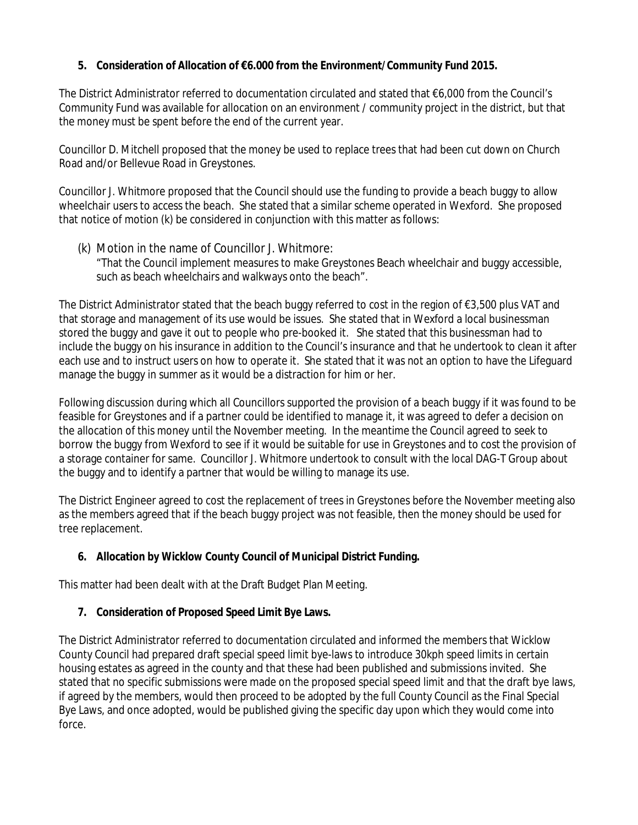## **5. Consideration of Allocation of €6.000 from the Environment/Community Fund 2015.**

The District Administrator referred to documentation circulated and stated that €6,000 from the Council's Community Fund was available for allocation on an environment / community project in the district, but that the money must be spent before the end of the current year.

Councillor D. Mitchell proposed that the money be used to replace trees that had been cut down on Church Road and/or Bellevue Road in Greystones.

Councillor J. Whitmore proposed that the Council should use the funding to provide a beach buggy to allow wheelchair users to access the beach. She stated that a similar scheme operated in Wexford. She proposed that notice of motion (k) be considered in conjunction with this matter as follows:

(k) Motion in the name of Councillor J. Whitmore: "That the Council implement measures to make Greystones Beach wheelchair and buggy accessible, such as beach wheelchairs and walkways onto the beach".

The District Administrator stated that the beach buggy referred to cost in the region of €3,500 plus VAT and that storage and management of its use would be issues. She stated that in Wexford a local businessman stored the buggy and gave it out to people who pre-booked it. She stated that this businessman had to include the buggy on his insurance in addition to the Council's insurance and that he undertook to clean it after each use and to instruct users on how to operate it. She stated that it was not an option to have the Lifeguard manage the buggy in summer as it would be a distraction for him or her.

Following discussion during which all Councillors supported the provision of a beach buggy if it was found to be feasible for Greystones and if a partner could be identified to manage it, it was agreed to defer a decision on the allocation of this money until the November meeting. In the meantime the Council agreed to seek to borrow the buggy from Wexford to see if it would be suitable for use in Greystones and to cost the provision of a storage container for same. Councillor J. Whitmore undertook to consult with the local DAG-T Group about the buggy and to identify a partner that would be willing to manage its use.

The District Engineer agreed to cost the replacement of trees in Greystones before the November meeting also as the members agreed that if the beach buggy project was not feasible, then the money should be used for tree replacement.

## **6. Allocation by Wicklow County Council of Municipal District Funding.**

This matter had been dealt with at the Draft Budget Plan Meeting.

## **7. Consideration of Proposed Speed Limit Bye Laws.**

The District Administrator referred to documentation circulated and informed the members that Wicklow County Council had prepared draft special speed limit bye-laws to introduce 30kph speed limits in certain housing estates as agreed in the county and that these had been published and submissions invited. She stated that no specific submissions were made on the proposed special speed limit and that the draft bye laws, if agreed by the members, would then proceed to be adopted by the full County Council as the Final Special Bye Laws, and once adopted, would be published giving the specific day upon which they would come into force.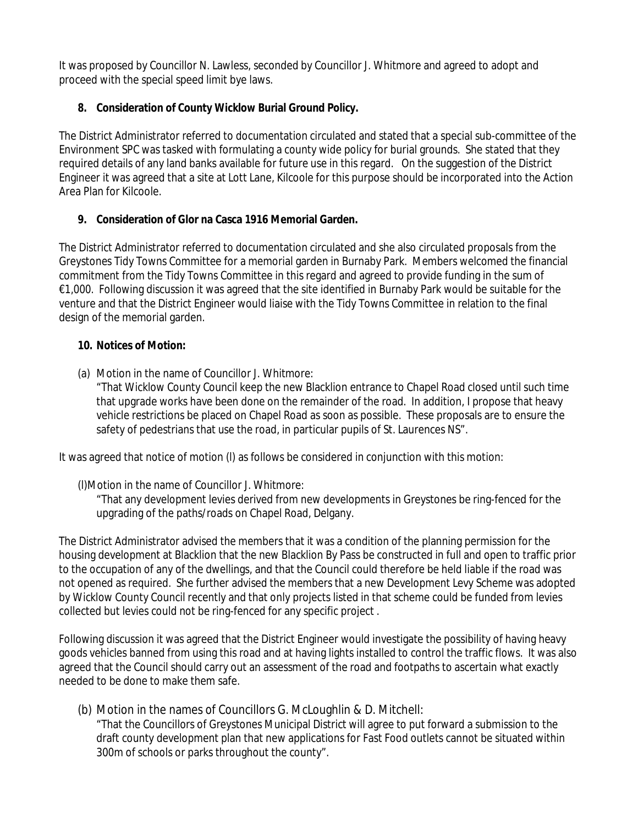It was proposed by Councillor N. Lawless, seconded by Councillor J. Whitmore and agreed to adopt and proceed with the special speed limit bye laws.

# **8. Consideration of County Wicklow Burial Ground Policy.**

The District Administrator referred to documentation circulated and stated that a special sub-committee of the Environment SPC was tasked with formulating a county wide policy for burial grounds. She stated that they required details of any land banks available for future use in this regard. On the suggestion of the District Engineer it was agreed that a site at Lott Lane, Kilcoole for this purpose should be incorporated into the Action Area Plan for Kilcoole.

# **9. Consideration of Glor na Casca 1916 Memorial Garden.**

The District Administrator referred to documentation circulated and she also circulated proposals from the Greystones Tidy Towns Committee for a memorial garden in Burnaby Park. Members welcomed the financial commitment from the Tidy Towns Committee in this regard and agreed to provide funding in the sum of €1,000. Following discussion it was agreed that the site identified in Burnaby Park would be suitable for the venture and that the District Engineer would liaise with the Tidy Towns Committee in relation to the final design of the memorial garden.

## **10. Notices of Motion:**

(a) Motion in the name of Councillor J. Whitmore:

"That Wicklow County Council keep the new Blacklion entrance to Chapel Road closed until such time that upgrade works have been done on the remainder of the road. In addition, I propose that heavy vehicle restrictions be placed on Chapel Road as soon as possible. These proposals are to ensure the safety of pedestrians that use the road, in particular pupils of St. Laurences NS".

It was agreed that notice of motion (I) as follows be considered in conjunction with this motion:

## (l)Motion in the name of Councillor J. Whitmore:

"That any development levies derived from new developments in Greystones be ring-fenced for the upgrading of the paths/roads on Chapel Road, Delgany.

The District Administrator advised the members that it was a condition of the planning permission for the housing development at Blacklion that the new Blacklion By Pass be constructed in full and open to traffic prior to the occupation of any of the dwellings, and that the Council could therefore be held liable if the road was not opened as required. She further advised the members that a new Development Levy Scheme was adopted by Wicklow County Council recently and that only projects listed in that scheme could be funded from levies collected but levies could not be ring-fenced for any specific project .

Following discussion it was agreed that the District Engineer would investigate the possibility of having heavy goods vehicles banned from using this road and at having lights installed to control the traffic flows. It was also agreed that the Council should carry out an assessment of the road and footpaths to ascertain what exactly needed to be done to make them safe.

(b) Motion in the names of Councillors G. McLoughlin & D. Mitchell:

"That the Councillors of Greystones Municipal District will agree to put forward a submission to the draft county development plan that new applications for Fast Food outlets cannot be situated within 300m of schools or parks throughout the county".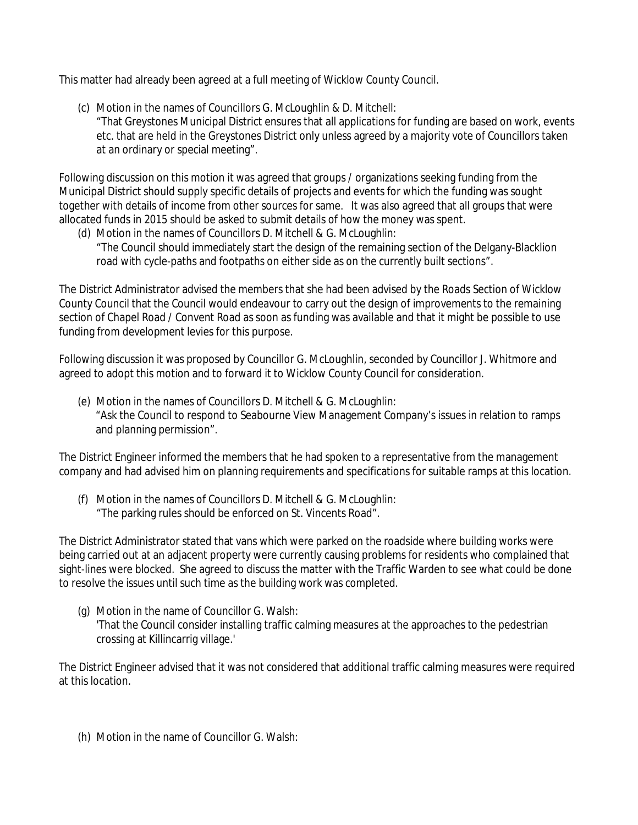This matter had already been agreed at a full meeting of Wicklow County Council.

- (c) Motion in the names of Councillors G. McLoughlin & D. Mitchell:
	- "That Greystones Municipal District ensures that all applications for funding are based on work, events etc. that are held in the Greystones District only unless agreed by a majority vote of Councillors taken at an ordinary or special meeting".

Following discussion on this motion it was agreed that groups / organizations seeking funding from the Municipal District should supply specific details of projects and events for which the funding was sought together with details of income from other sources for same. It was also agreed that all groups that were allocated funds in 2015 should be asked to submit details of how the money was spent.

(d) Motion in the names of Councillors D. Mitchell & G. McLoughlin: "The Council should immediately start the design of the remaining section of the Delgany-Blacklion road with cycle-paths and footpaths on either side as on the currently built sections".

The District Administrator advised the members that she had been advised by the Roads Section of Wicklow County Council that the Council would endeavour to carry out the design of improvements to the remaining section of Chapel Road / Convent Road as soon as funding was available and that it might be possible to use funding from development levies for this purpose.

Following discussion it was proposed by Councillor G. McLoughlin, seconded by Councillor J. Whitmore and agreed to adopt this motion and to forward it to Wicklow County Council for consideration.

(e) Motion in the names of Councillors D. Mitchell & G. McLoughlin: "Ask the Council to respond to Seabourne View Management Company's issues in relation to ramps and planning permission".

The District Engineer informed the members that he had spoken to a representative from the management company and had advised him on planning requirements and specifications for suitable ramps at this location.

(f) Motion in the names of Councillors D. Mitchell & G. McLoughlin: "The parking rules should be enforced on St. Vincents Road".

The District Administrator stated that vans which were parked on the roadside where building works were being carried out at an adjacent property were currently causing problems for residents who complained that sight-lines were blocked. She agreed to discuss the matter with the Traffic Warden to see what could be done to resolve the issues until such time as the building work was completed.

(g) Motion in the name of Councillor G. Walsh: 'That the Council consider installing traffic calming measures at the approaches to the pedestrian crossing at Killincarrig village.'

The District Engineer advised that it was not considered that additional traffic calming measures were required at this location.

(h) Motion in the name of Councillor G. Walsh: